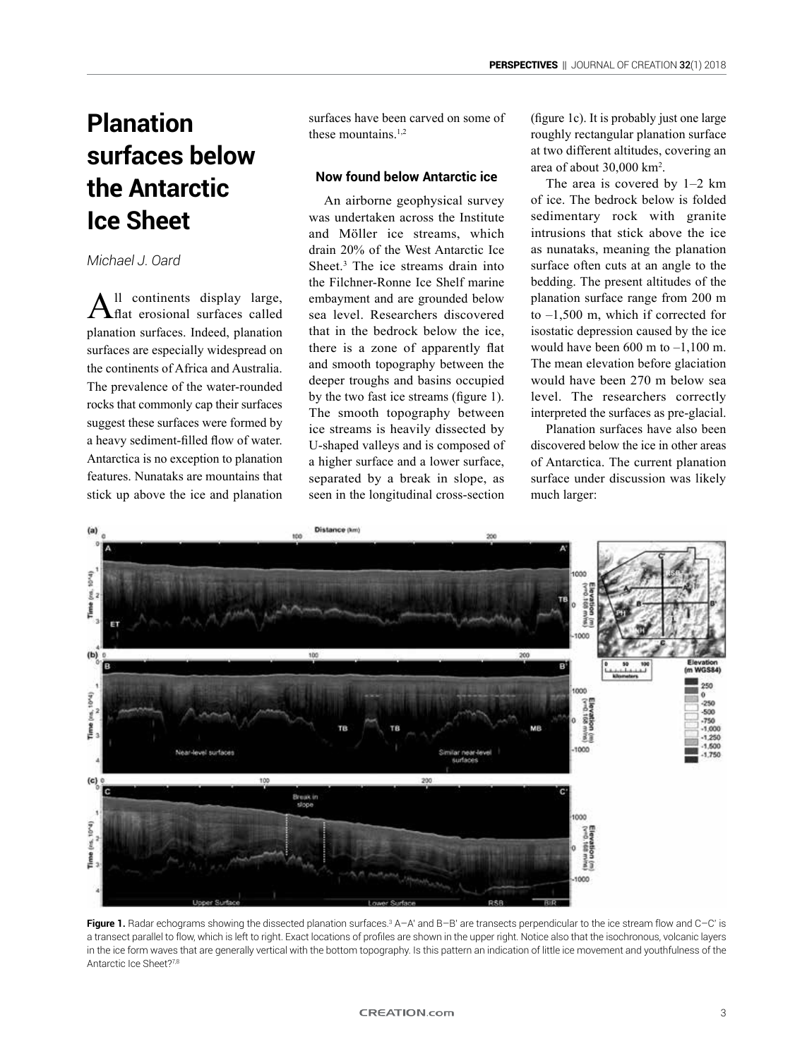## **Planation surfaces below the Antarctic Ice Sheet**

*Michael J. Oard*

All continents display large, **f**  $\mathbf{f}$  at erosional surfaces called planation surfaces. Indeed, planation surfaces are especially widespread on the continents of Africa and Australia. The prevalence of the water-rounded rocks that commonly cap their surfaces suggest these surfaces were formed by a heavy sediment-filled flow of water. Antarctica is no exception to planation features. Nunataks are mountains that stick up above the ice and planation surfaces have been carved on some of these mountains.<sup>1,2</sup>

## **Now found below Antarctic ice**

An airborne geophysical survey was undertaken across the Institute and Möller ice streams, which drain 20% of the West Antarctic Ice Sheet.<sup>3</sup> The ice streams drain into the Filchner-Ronne Ice Shelf marine embayment and are grounded below sea level. Researchers discovered that in the bedrock below the ice, there is a zone of apparently flat and smooth topography between the deeper troughs and basins occupied by the two fast ice streams (figure 1). The smooth topography between ice streams is heavily dissected by U-shaped valleys and is composed of a higher surface and a lower surface, separated by a break in slope, as seen in the longitudinal cross-section

(figure 1c). It is probably just one large roughly rectangular planation surface at two different altitudes, covering an area of about 30,000 km<sup>2</sup> .

The area is covered by 1–2 km of ice. The bedrock below is folded sedimentary rock with granite intrusions that stick above the ice as nunataks, meaning the planation surface often cuts at an angle to the bedding. The present altitudes of the planation surface range from 200 m to –1,500 m, which if corrected for isostatic depression caused by the ice would have been  $600 \text{ m}$  to  $-1,100 \text{ m}$ . The mean elevation before glaciation would have been 270 m below sea level. The researchers correctly interpreted the surfaces as pre-glacial.

Planation surfaces have also been discovered below the ice in other areas of Antarctica. The current planation surface under discussion was likely much larger:



**Figure 1.** Radar echograms showing the dissected planation surfaces.<sup>3</sup> A−A' and B−B' are transects perpendicular to the ice stream flow and C−C' is a transect parallel to flow, which is left to right. Exact locations of profiles are shown in the upper right. Notice also that the isochronous, volcanic layers in the ice form waves that are generally vertical with the bottom topography. Is this pattern an indication of little ice movement and youthfulness of the Antarctic Ice Sheet?7,8